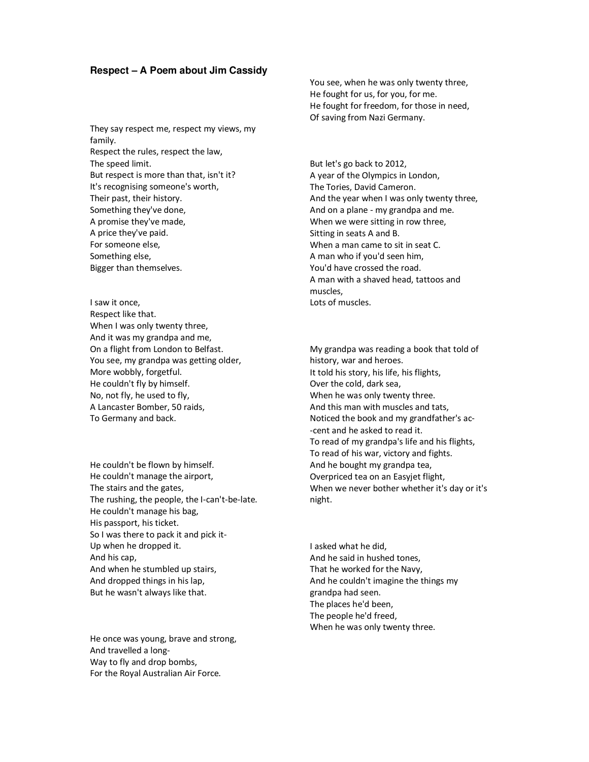## **Respect – A Poem about Jim Cassidy**

They say respect me, respect my views, my family. Respect the rules, respect the law, The speed limit. But respect is more than that, isn't it? It's recognising someone's worth, Their past, their history. Something they've done, A promise they've made, A price they've paid. For someone else, Something else, Bigger than themselves.

I saw it once, Respect like that. When I was only twenty three, And it was my grandpa and me, On a flight from London to Belfast. You see, my grandpa was getting older, More wobbly, forgetful. He couldn't fly by himself. No, not fly, he used to fly, A Lancaster Bomber, 50 raids, To Germany and back.

He couldn't be flown by himself. He couldn't manage the airport, The stairs and the gates, The rushing, the people, the I-can't-be-late. He couldn't manage his bag, His passport, his ticket. So I was there to pack it and pick it-Up when he dropped it. And his cap, And when he stumbled up stairs, And dropped things in his lap, But he wasn't always like that.

He once was young, brave and strong, And travelled a long-Way to fly and drop bombs, For the Royal Australian Air Force.

You see, when he was only twenty three, He fought for us, for you, for me. He fought for freedom, for those in need, Of saving from Nazi Germany.

But let's go back to 2012, A year of the Olympics in London, The Tories, David Cameron. And the year when I was only twenty three, And on a plane - my grandpa and me. When we were sitting in row three, Sitting in seats A and B. When a man came to sit in seat C. A man who if you'd seen him, You'd have crossed the road. A man with a shaved head, tattoos and muscles, Lots of muscles.

My grandpa was reading a book that told of history, war and heroes. It told his story, his life, his flights, Over the cold, dark sea, When he was only twenty three. And this man with muscles and tats, Noticed the book and my grandfather's ac- -cent and he asked to read it. To read of my grandpa's life and his flights, To read of his war, victory and fights. And he bought my grandpa tea, Overpriced tea on an Easyjet flight, When we never bother whether it's day or it's night.

I asked what he did, And he said in hushed tones, That he worked for the Navy, And he couldn't imagine the things my grandpa had seen. The places he'd been, The people he'd freed, When he was only twenty three.